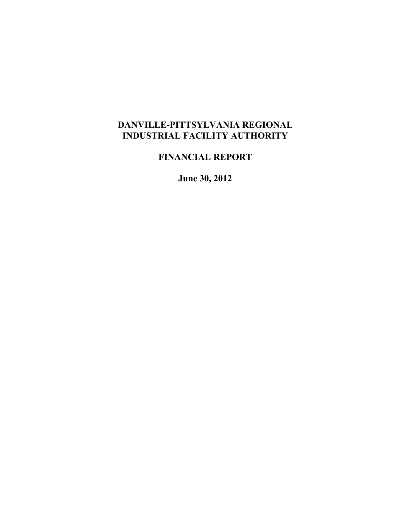# **DANVILLE-PITTSYLVANIA REGIONAL INDUSTRIAL FACILITY AUTHORITY**

**FINANCIAL REPORT** 

**June 30, 2012**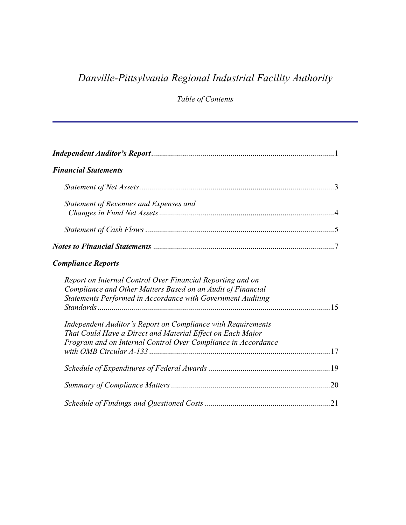# *Danville-Pittsylvania Regional Industrial Facility Authority*

*Table of Contents*

| <b>Financial Statements</b>                                                                                                                                                                 |  |
|---------------------------------------------------------------------------------------------------------------------------------------------------------------------------------------------|--|
|                                                                                                                                                                                             |  |
| Statement of Revenues and Expenses and                                                                                                                                                      |  |
|                                                                                                                                                                                             |  |
|                                                                                                                                                                                             |  |
| <b>Compliance Reports</b>                                                                                                                                                                   |  |
| Report on Internal Control Over Financial Reporting and on<br>Compliance and Other Matters Based on an Audit of Financial<br>Statements Performed in Accordance with Government Auditing    |  |
| Independent Auditor's Report on Compliance with Requirements<br>That Could Have a Direct and Material Effect on Each Major<br>Program and on Internal Control Over Compliance in Accordance |  |
|                                                                                                                                                                                             |  |
|                                                                                                                                                                                             |  |
|                                                                                                                                                                                             |  |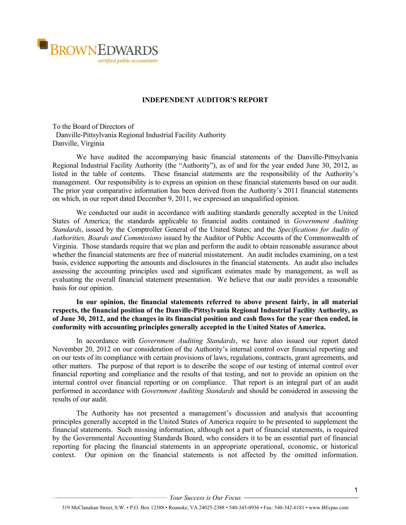

### **INDEPENDENT AUDITOR'S REPORT**

To the Board of Directors of Danville-Pittsylvania Regional Industrial Facility Authority Danville, Virginia

We have audited the accompanying basic financial statements of the Danville-Pittsylvania Regional Industrial Facility Authority (the "Authority"), as of and for the year ended June 30, 2012, as listed in the table of contents. These financial statements are the responsibility of the Authority's management. Our responsibility is to express an opinion on these financial statements based on our audit. The prior year comparative information has been derived from the Authority's 2011 financial statements on which, in our report dated December 9, 2011, we expressed an unqualified opinion.

We conducted our audit in accordance with auditing standards generally accepted in the United States of America; the standards applicable to financial audits contained in *Government Auditing Standards*, issued by the Comptroller General of the United States; and the *Specifications for Audits of Authorities, Boards and Commissions* issued by the Auditor of Public Accounts of the Commonwealth of Virginia. Those standards require that we plan and perform the audit to obtain reasonable assurance about whether the financial statements are free of material misstatement. An audit includes examining, on a test basis, evidence supporting the amounts and disclosures in the financial statements. An audit also includes assessing the accounting principles used and significant estimates made by management, as well as evaluating the overall financial statement presentation. We believe that our audit provides a reasonable basis for our opinion.

**In our opinion, the financial statements referred to above present fairly, in all material respects, the financial position of the Danville-Pittsylvania Regional Industrial Facility Authority, as of June 30, 2012, and the changes in its financial position and cash flows for the year then ended, in conformity with accounting principles generally accepted in the United States of America.** 

In accordance with *Government Auditing Standards*, we have also issued our report dated November 20, 2012 on our consideration of the Authority's internal control over financial reporting and on our tests of its compliance with certain provisions of laws, regulations, contracts, grant agreements, and other matters. The purpose of that report is to describe the scope of our testing of internal control over financial reporting and compliance and the results of that testing, and not to provide an opinion on the internal control over financial reporting or on compliance. That report is an integral part of an audit performed in accordance with *Government Auditing Standards* and should be considered in assessing the results of our audit.

The Authority has not presented a management's discussion and analysis that accounting principles generally accepted in the United States of America require to be presented to supplement the financial statements. Such missing information, although not a part of financial statements, is required by the Governmental Accounting Standards Board, who considers it to be an essential part of financial reporting for placing the financial statements in an appropriate operational, economic, or historical context. Our opinion on the financial statements is not affected by the omitted information.

*Your Success is Our Focus* 

1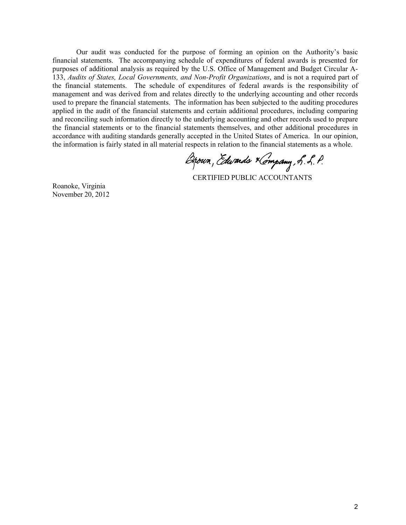Our audit was conducted for the purpose of forming an opinion on the Authority's basic financial statements. The accompanying schedule of expenditures of federal awards is presented for purposes of additional analysis as required by the U.S. Office of Management and Budget Circular A-133, *Audits of States, Local Governments, and Non-Profit Organizations*, and is not a required part of the financial statements. The schedule of expenditures of federal awards is the responsibility of management and was derived from and relates directly to the underlying accounting and other records used to prepare the financial statements. The information has been subjected to the auditing procedures applied in the audit of the financial statements and certain additional procedures, including comparing and reconciling such information directly to the underlying accounting and other records used to prepare the financial statements or to the financial statements themselves, and other additional procedures in accordance with auditing standards generally accepted in the United States of America. In our opinion, the information is fairly stated in all material respects in relation to the financial statements as a whole.

Brown, Edwards Kompany, S. L. P.

CERTIFIED PUBLIC ACCOUNTANTS

Roanoke, Virginia November 20, 2012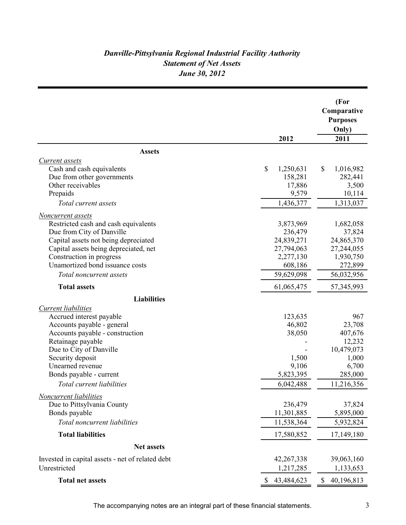# *Danville-Pittsylvania Regional Industrial Facility Authority Statement of Net Assets June 30, 2012*

|                                                                                                                                                                                                                                                                          |                                                                                        | (For<br>Comparative<br><b>Purposes</b><br>Only)                                             |
|--------------------------------------------------------------------------------------------------------------------------------------------------------------------------------------------------------------------------------------------------------------------------|----------------------------------------------------------------------------------------|---------------------------------------------------------------------------------------------|
|                                                                                                                                                                                                                                                                          | 2012                                                                                   | 2011                                                                                        |
| <b>Assets</b>                                                                                                                                                                                                                                                            |                                                                                        |                                                                                             |
| <b>Current assets</b><br>Cash and cash equivalents<br>Due from other governments<br>Other receivables<br>Prepaids<br>Total current assets                                                                                                                                | \$<br>1,250,631<br>158,281<br>17,886<br>9,579<br>1,436,377                             | \$<br>1,016,982<br>282,441<br>3,500<br>10,114<br>1,313,037                                  |
| <b>Noncurrent</b> assets<br>Restricted cash and cash equivalents<br>Due from City of Danville<br>Capital assets not being depreciated<br>Capital assets being depreciated, net<br>Construction in progress<br>Unamortized bond issuance costs<br>Total noncurrent assets | 3,873,969<br>236,479<br>24,839,271<br>27,794,063<br>2,277,130<br>608,186<br>59,629,098 | 1,682,058<br>37,824<br>24,865,370<br>27,244,055<br>1,930,750<br>272,899<br>56,032,956       |
| <b>Total assets</b>                                                                                                                                                                                                                                                      | 61,065,475                                                                             | 57, 345, 993                                                                                |
| <b>Liabilities</b>                                                                                                                                                                                                                                                       |                                                                                        |                                                                                             |
| <b>Current liabilities</b><br>Accrued interest payable<br>Accounts payable - general<br>Accounts payable - construction<br>Retainage payable<br>Due to City of Danville<br>Security deposit<br>Unearned revenue<br>Bonds payable - current<br>Total current liabilities  | 123,635<br>46,802<br>38,050<br>1,500<br>9,106<br>5,823,395<br>6,042,488                | 967<br>23,708<br>407,676<br>12,232<br>10,479,073<br>1,000<br>6,700<br>285,000<br>11,216,356 |
| <b>Noncurrent liabilities</b><br>Due to Pittsylvania County<br>Bonds payable<br>Total noncurrent liabilities                                                                                                                                                             | 236,479<br>11,301,885<br>11,538,364                                                    | 37,824<br>5,895,000<br>5,932,824                                                            |
| <b>Total liabilities</b>                                                                                                                                                                                                                                                 | 17,580,852                                                                             | 17,149,180                                                                                  |
| <b>Net assets</b><br>Invested in capital assets - net of related debt<br>Unrestricted<br><b>Total net assets</b>                                                                                                                                                         | 42,267,338<br>1,217,285<br>43,484,623                                                  | 39,063,160<br>1,133,653<br>\$40,196,813                                                     |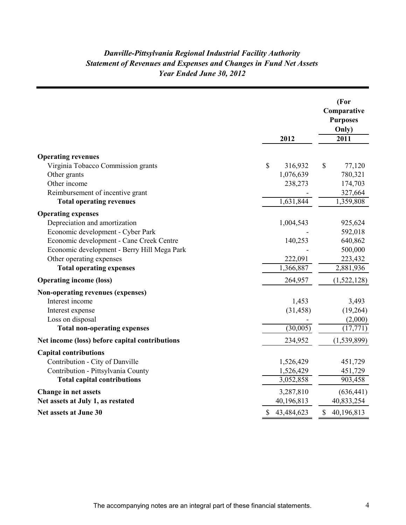## *Danville-Pittsylvania Regional Industrial Facility Authority Statement of Revenues and Expenses and Changes in Fund Net Assets Year Ended June 30, 2012*

|                                                | 2012             | (For<br>Comparative<br><b>Purposes</b><br>Only)<br>2011 |
|------------------------------------------------|------------------|---------------------------------------------------------|
| <b>Operating revenues</b>                      |                  |                                                         |
| Virginia Tobacco Commission grants             | \$<br>316,932    | $\mathbb{S}$<br>77,120                                  |
| Other grants                                   | 1,076,639        | 780,321                                                 |
| Other income                                   | 238,273          | 174,703                                                 |
| Reimbursement of incentive grant               |                  | 327,664                                                 |
| <b>Total operating revenues</b>                | 1,631,844        | 1,359,808                                               |
| <b>Operating expenses</b>                      |                  |                                                         |
| Depreciation and amortization                  | 1,004,543        | 925,624                                                 |
| Economic development - Cyber Park              |                  | 592,018                                                 |
| Economic development - Cane Creek Centre       | 140,253          | 640,862                                                 |
| Economic development - Berry Hill Mega Park    |                  | 500,000                                                 |
| Other operating expenses                       | 222,091          | 223,432                                                 |
| <b>Total operating expenses</b>                | 1,366,887        | 2,881,936                                               |
| <b>Operating income (loss)</b>                 | 264,957          | (1,522,128)                                             |
| Non-operating revenues (expenses)              |                  |                                                         |
| Interest income                                | 1,453            | 3,493                                                   |
| Interest expense                               | (31, 458)        | (19,264)                                                |
| Loss on disposal                               |                  | (2,000)                                                 |
| <b>Total non-operating expenses</b>            | (30,005)         | (17, 771)                                               |
| Net income (loss) before capital contributions | 234,952          | (1,539,899)                                             |
| <b>Capital contributions</b>                   |                  |                                                         |
| Contribution - City of Danville                | 1,526,429        | 451,729                                                 |
| Contribution - Pittsylvania County             | 1,526,429        | 451,729                                                 |
| <b>Total capital contributions</b>             | 3,052,858        | 903,458                                                 |
| <b>Change in net assets</b>                    | 3,287,810        | (636, 441)                                              |
| Net assets at July 1, as restated              | 40,196,813       | 40,833,254                                              |
| Net assets at June 30                          | 43,484,623<br>\$ | \$<br>40,196,813                                        |
|                                                |                  |                                                         |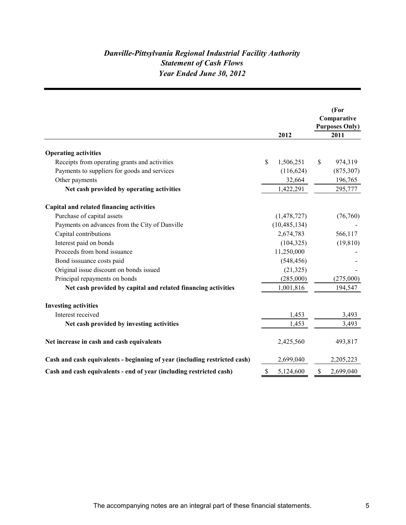# *Danville-Pittsylvania Regional Industrial Facility Authority Year Ended June 30, 2012 Statement of Cash Flows*

|                                                                           | 2012            | (For<br>Comparative<br><b>Purposes Only)</b><br>2011 |
|---------------------------------------------------------------------------|-----------------|------------------------------------------------------|
|                                                                           |                 |                                                      |
| <b>Operating activities</b>                                               |                 |                                                      |
| Receipts from operating grants and activities                             | \$<br>1,506,251 | \$<br>974,319                                        |
| Payments to suppliers for goods and services                              | (116, 624)      | (875, 307)                                           |
| Other payments                                                            | 32,664          | 196,765                                              |
| Net cash provided by operating activities                                 | 1,422,291       | 295,777                                              |
| Capital and related financing activities                                  |                 |                                                      |
| Purchase of capital assets                                                | (1, 478, 727)   | (76,760)                                             |
| Payments on advances from the City of Danville                            | (10, 485, 134)  |                                                      |
| Capital contributions                                                     | 2,674,783       | 566,117                                              |
| Interest paid on bonds                                                    | (104, 325)      | (19, 810)                                            |
| Proceeds from bond issuance                                               | 11,250,000      |                                                      |
| Bond isssuance costs paid                                                 | (548, 456)      |                                                      |
| Original issue discount on bonds issued                                   | (21, 325)       |                                                      |
| Principal repayments on bonds                                             | (285,000)       | (275,000)                                            |
| Net cash provided by capital and related financing activities             | 1,001,816       | 194,547                                              |
| <b>Investing activities</b>                                               |                 |                                                      |
| Interest received                                                         | 1,453           | 3,493                                                |
| Net cash provided by investing activities                                 | 1,453           | 3,493                                                |
| Net increase in cash and cash equivalents                                 | 2,425,560       | 493,817                                              |
| Cash and cash equivalents - beginning of year (including restricted cash) | 2,699,040       | 2,205,223                                            |
| Cash and cash equivalents - end of year (including restricted cash)       | \$<br>5,124,600 | \$<br>2,699,040                                      |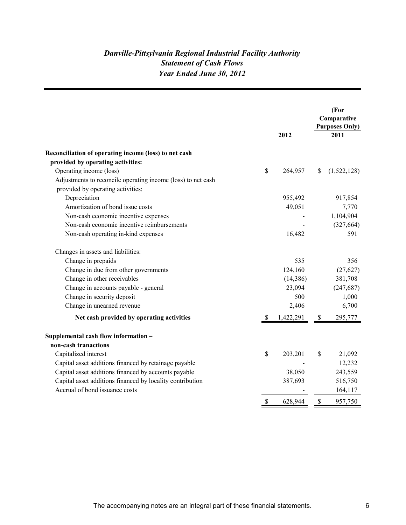# *Danville-Pittsylvania Regional Industrial Facility Authority Year Ended June 30, 2012 Statement of Cash Flows*

|                                                                                                               |             |           |               | (For<br>Comparative<br><b>Purposes Only)</b> |
|---------------------------------------------------------------------------------------------------------------|-------------|-----------|---------------|----------------------------------------------|
|                                                                                                               |             | 2012      |               | 2011                                         |
|                                                                                                               |             |           |               |                                              |
| Reconciliation of operating income (loss) to net cash                                                         |             |           |               |                                              |
| provided by operating activities:                                                                             |             |           |               |                                              |
| Operating income (loss)                                                                                       | \$          | 264,957   | \$            | (1,522,128)                                  |
| Adjustments to reconcile operating income (loss) to net cash                                                  |             |           |               |                                              |
| provided by operating activities:                                                                             |             |           |               |                                              |
| Depreciation                                                                                                  |             | 955,492   |               | 917,854                                      |
| Amortization of bond issue costs                                                                              |             | 49,051    |               | 7,770                                        |
| Non-cash economic incentive expenses                                                                          |             |           |               | 1,104,904                                    |
| Non-cash economic incentive reimbursements                                                                    |             |           |               | (327, 664)                                   |
| Non-cash operating in-kind expenses                                                                           |             | 16,482    |               | 591                                          |
| Changes in assets and liabilities:                                                                            |             |           |               |                                              |
| Change in prepaids                                                                                            |             | 535       |               | 356                                          |
| Change in due from other governments                                                                          |             | 124,160   |               | (27,627)                                     |
| Change in other receivables                                                                                   |             | (14,386)  |               | 381,708                                      |
| Change in accounts payable - general                                                                          |             | 23,094    |               | (247, 687)                                   |
| Change in security deposit                                                                                    |             | 500       |               | 1,000                                        |
| Change in unearned revenue                                                                                    |             | 2,406     |               | 6,700                                        |
| Net cash provided by operating activities                                                                     | $\mathbf S$ | 1,422,291 | $\mathcal{S}$ | 295,777                                      |
| Supplemental cash flow information -                                                                          |             |           |               |                                              |
| non-cash tranactions                                                                                          |             |           |               |                                              |
| Capitalized interest                                                                                          | \$          | 203,201   | \$            | 21,092                                       |
|                                                                                                               |             |           |               |                                              |
| Capital asset additions financed by retainage payable<br>Capital asset additions financed by accounts payable |             | 38,050    |               | 12,232<br>243,559                            |
|                                                                                                               |             |           |               |                                              |
| Capital asset additions financed by locality contribution<br>Accrual of bond issuance costs                   |             | 387,693   |               | 516,750                                      |
|                                                                                                               |             |           |               | 164,117                                      |
|                                                                                                               | \$          | 628,944   | \$            | 957,750                                      |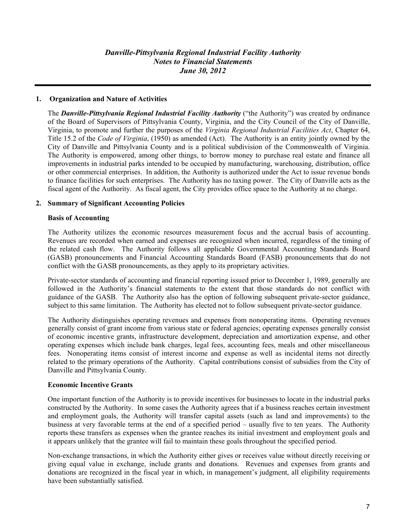### **1. Organization and Nature of Activities**

The *Danville-Pittsylvania Regional Industrial Facility Authority* ("the Authority") was created by ordinance of the Board of Supervisors of Pittsylvania County, Virginia, and the City Council of the City of Danville, Virginia, to promote and further the purposes of the *Virginia Regional Industrial Facilities Act*, Chapter 64, Title 15.2 of the *Code of Virginia*, (1950) as amended (Act). The Authority is an entity jointly owned by the City of Danville and Pittsylvania County and is a political subdivision of the Commonwealth of Virginia. The Authority is empowered, among other things, to borrow money to purchase real estate and finance all improvements in industrial parks intended to be occupied by manufacturing, warehousing, distribution, office or other commercial enterprises. In addition, the Authority is authorized under the Act to issue revenue bonds to finance facilities for such enterprises. The Authority has no taxing power. The City of Danville acts as the fiscal agent of the Authority. As fiscal agent, the City provides office space to the Authority at no charge.

### **2. Summary of Significant Accounting Policies**

### **Basis of Accounting**

The Authority utilizes the economic resources measurement focus and the accrual basis of accounting. Revenues are recorded when earned and expenses are recognized when incurred, regardless of the timing of the related cash flow. The Authority follows all applicable Governmental Accounting Standards Board (GASB) pronouncements and Financial Accounting Standards Board (FASB) pronouncements that do not conflict with the GASB pronouncements, as they apply to its proprietary activities.

Private-sector standards of accounting and financial reporting issued prior to December 1, 1989, generally are followed in the Authority's financial statements to the extent that those standards do not conflict with guidance of the GASB. The Authority also has the option of following subsequent private-sector guidance, subject to this same limitation. The Authority has elected not to follow subsequent private-sector guidance.

The Authority distinguishes operating revenues and expenses from nonoperating items. Operating revenues generally consist of grant income from various state or federal agencies; operating expenses generally consist of economic incentive grants, infrastructure development, depreciation and amortization expense, and other operating expenses which include bank charges, legal fees, accounting fees, meals and other miscellaneous fees. Nonoperating items consist of interest income and expense as well as incidental items not directly related to the primary operations of the Authority. Capital contributions consist of subsidies from the City of Danville and Pittsylvania County.

### **Economic Incentive Grants**

One important function of the Authority is to provide incentives for businesses to locate in the industrial parks constructed by the Authority. In some cases the Authority agrees that if a business reaches certain investment and employment goals, the Authority will transfer capital assets (such as land and improvements) to the business at very favorable terms at the end of a specified period – usually five to ten years. The Authority reports these transfers as expenses when the grantee reaches its initial investment and employment goals and it appears unlikely that the grantee will fail to maintain these goals throughout the specified period.

Non-exchange transactions, in which the Authority either gives or receives value without directly receiving or giving equal value in exchange, include grants and donations. Revenues and expenses from grants and donations are recognized in the fiscal year in which, in management's judgment, all eligibility requirements have been substantially satisfied.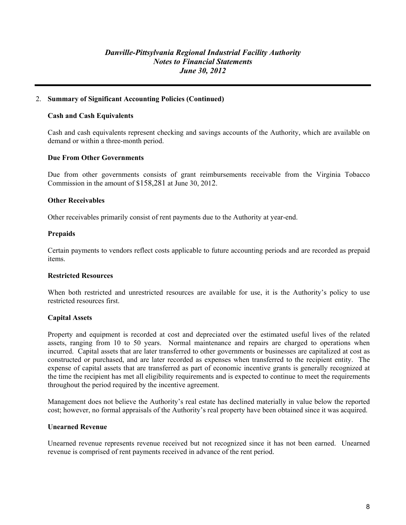### 2. **Summary of Significant Accounting Policies (Continued)**

### **Cash and Cash Equivalents**

Cash and cash equivalents represent checking and savings accounts of the Authority, which are available on demand or within a three-month period.

### **Due From Other Governments**

Due from other governments consists of grant reimbursements receivable from the Virginia Tobacco Commission in the amount of \$158,281 at June 30, 2012.

### **Other Receivables**

Other receivables primarily consist of rent payments due to the Authority at year-end.

### **Prepaids**

Certain payments to vendors reflect costs applicable to future accounting periods and are recorded as prepaid items.

### **Restricted Resources**

When both restricted and unrestricted resources are available for use, it is the Authority's policy to use restricted resources first.

### **Capital Assets**

Property and equipment is recorded at cost and depreciated over the estimated useful lives of the related assets, ranging from 10 to 50 years. Normal maintenance and repairs are charged to operations when incurred. Capital assets that are later transferred to other governments or businesses are capitalized at cost as constructed or purchased, and are later recorded as expenses when transferred to the recipient entity. The expense of capital assets that are transferred as part of economic incentive grants is generally recognized at the time the recipient has met all eligibility requirements and is expected to continue to meet the requirements throughout the period required by the incentive agreement.

Management does not believe the Authority's real estate has declined materially in value below the reported cost; however, no formal appraisals of the Authority's real property have been obtained since it was acquired.

### **Unearned Revenue**

Unearned revenue represents revenue received but not recognized since it has not been earned. Unearned revenue is comprised of rent payments received in advance of the rent period.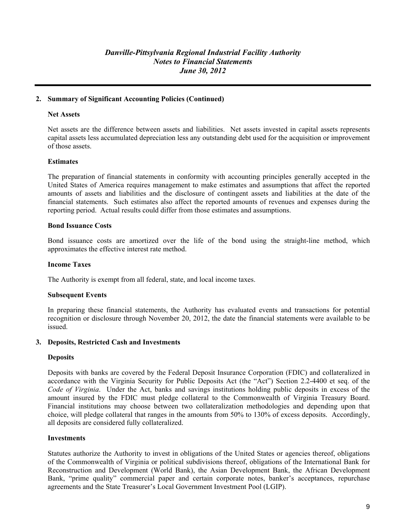### **2. Summary of Significant Accounting Policies (Continued)**

### **Net Assets**

Net assets are the difference between assets and liabilities. Net assets invested in capital assets represents capital assets less accumulated depreciation less any outstanding debt used for the acquisition or improvement of those assets.

### **Estimates**

The preparation of financial statements in conformity with accounting principles generally accepted in the United States of America requires management to make estimates and assumptions that affect the reported amounts of assets and liabilities and the disclosure of contingent assets and liabilities at the date of the financial statements. Such estimates also affect the reported amounts of revenues and expenses during the reporting period. Actual results could differ from those estimates and assumptions.

### **Bond Issuance Costs**

Bond issuance costs are amortized over the life of the bond using the straight-line method, which approximates the effective interest rate method.

### **Income Taxes**

The Authority is exempt from all federal, state, and local income taxes.

### **Subsequent Events**

In preparing these financial statements, the Authority has evaluated events and transactions for potential recognition or disclosure through November 20, 2012, the date the financial statements were available to be issued.

### **3. Deposits, Restricted Cash and Investments**

### **Deposits**

Deposits with banks are covered by the Federal Deposit Insurance Corporation (FDIC) and collateralized in accordance with the Virginia Security for Public Deposits Act (the "Act") Section 2.2-4400 et seq. of the *Code of Virginia*. Under the Act, banks and savings institutions holding public deposits in excess of the amount insured by the FDIC must pledge collateral to the Commonwealth of Virginia Treasury Board. Financial institutions may choose between two collateralization methodologies and depending upon that choice, will pledge collateral that ranges in the amounts from 50% to 130% of excess deposits. Accordingly, all deposits are considered fully collateralized.

### **Investments**

Statutes authorize the Authority to invest in obligations of the United States or agencies thereof, obligations of the Commonwealth of Virginia or political subdivisions thereof, obligations of the International Bank for Reconstruction and Development (World Bank), the Asian Development Bank, the African Development Bank, "prime quality" commercial paper and certain corporate notes, banker's acceptances, repurchase agreements and the State Treasurer's Local Government Investment Pool (LGIP).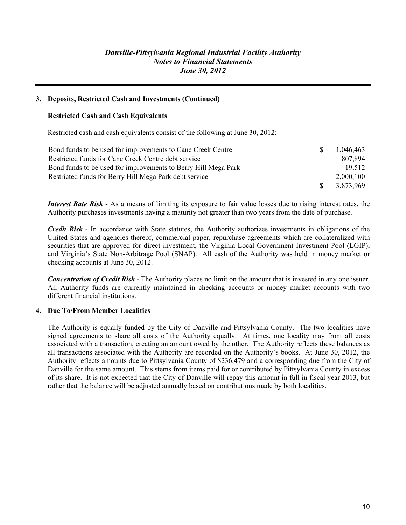### **3. Deposits, Restricted Cash and Investments (Continued)**

### **Restricted Cash and Cash Equivalents**

Restricted cash and cash equivalents consist of the following at June 30, 2012:

| Bond funds to be used for improvements to Cane Creek Centre    | -SS | 1,046,463 |
|----------------------------------------------------------------|-----|-----------|
| Restricted funds for Cane Creek Centre debt service            |     | 807.894   |
| Bond funds to be used for improvements to Berry Hill Mega Park |     | 19.512    |
| Restricted funds for Berry Hill Mega Park debt service         |     | 2,000,100 |
|                                                                | -SS | 3,873,969 |

*Interest Rate Risk* - As a means of limiting its exposure to fair value losses due to rising interest rates, the Authority purchases investments having a maturity not greater than two years from the date of purchase.

*Credit Risk* - In accordance with State statutes, the Authority authorizes investments in obligations of the United States and agencies thereof, commercial paper, repurchase agreements which are collateralized with securities that are approved for direct investment, the Virginia Local Government Investment Pool (LGIP), and Virginia's State Non-Arbitrage Pool (SNAP). All cash of the Authority was held in money market or checking accounts at June 30, 2012.

*Concentration of Credit Risk* - The Authority places no limit on the amount that is invested in any one issuer. All Authority funds are currently maintained in checking accounts or money market accounts with two different financial institutions.

### **4. Due To/From Member Localities**

The Authority is equally funded by the City of Danville and Pittsylvania County. The two localities have signed agreements to share all costs of the Authority equally. At times, one locality may front all costs associated with a transaction, creating an amount owed by the other. The Authority reflects these balances as all transactions associated with the Authority are recorded on the Authority's books. At June 30, 2012, the Authority reflects amounts due to Pittsylvania County of \$236,479 and a corresponding due from the City of Danville for the same amount. This stems from items paid for or contributed by Pittsylvania County in excess of its share. It is not expected that the City of Danville will repay this amount in full in fiscal year 2013, but rather that the balance will be adjusted annually based on contributions made by both localities.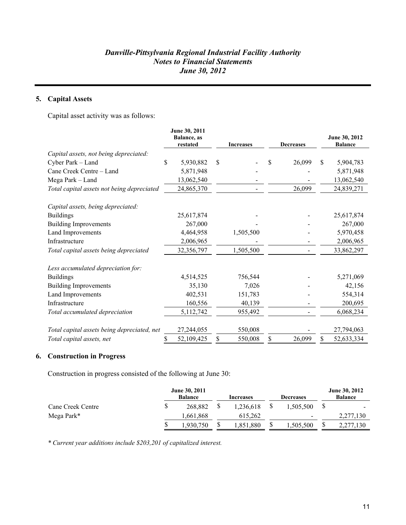### *Danville-Pittsylvania Regional Industrial Facility Authority Notes to Financial Statements June 30, 2012*

### **5. Capital Assets**

Capital asset activity was as follows:

|                                             | June 30, 2011<br>Balance, as<br>restated |                  |    |                  | June 30, 2012<br><b>Balance</b> |
|---------------------------------------------|------------------------------------------|------------------|----|------------------|---------------------------------|
|                                             |                                          | <b>Increases</b> |    | <b>Decreases</b> |                                 |
| Capital assets, not being depreciated:      |                                          |                  |    |                  |                                 |
| Cyber Park - Land                           | \$<br>5,930,882                          | \$               | S  | 26,099           | \$<br>5,904,783                 |
| Cane Creek Centre - Land                    | 5,871,948                                |                  |    |                  | 5,871,948                       |
| Mega Park - Land                            | 13,062,540                               |                  |    |                  | 13,062,540                      |
| Total capital assets not being depreciated  | 24,865,370                               |                  |    | 26,099           | 24,839,271                      |
| Capital assets, being depreciated:          |                                          |                  |    |                  |                                 |
| <b>Buildings</b>                            | 25,617,874                               |                  |    |                  | 25,617,874                      |
| <b>Building Improvements</b>                | 267,000                                  |                  |    |                  | 267,000                         |
| Land Improvements                           | 4,464,958                                | 1,505,500        |    |                  | 5,970,458                       |
| Infrastructure                              | 2,006,965                                |                  |    |                  | 2,006,965                       |
| Total capital assets being depreciated      | 32,356,797                               | 1,505,500        |    |                  | 33,862,297                      |
| Less accumulated depreciation for:          |                                          |                  |    |                  |                                 |
| <b>Buildings</b>                            | 4,514,525                                | 756,544          |    |                  | 5,271,069                       |
| <b>Building Improvements</b>                | 35,130                                   | 7,026            |    |                  | 42,156                          |
| Land Improvements                           | 402,531                                  | 151,783          |    |                  | 554,314                         |
| Infrastructure                              | 160,556                                  | 40,139           |    |                  | 200,695                         |
| Total accumulated depreciation              | 5,112,742                                | 955,492          |    |                  | 6,068,234                       |
| Total capital assets being depreciated, net | 27,244,055                               | 550,008          |    |                  | 27,794,063                      |
| Total capital assets, net                   | \$<br>52,109,425                         | \$<br>550,008    | \$ | 26,099           | \$<br>52,633,334                |

### **6. Construction in Progress**

Construction in progress consisted of the following at June 30:

|                   | June 30, 2011<br><b>Balance</b> | Increases | <b>Decreases</b>         |   | June 30, 2012<br><b>Balance</b> |
|-------------------|---------------------------------|-----------|--------------------------|---|---------------------------------|
| Cane Creek Centre | 268.882                         | 1.236.618 | 1.505.500                |   |                                 |
| Mega Park*        | .661.868                        | 615.262   | $\overline{\phantom{0}}$ |   | 2,277,130                       |
|                   | ,930,750                        | ,851,880  | 1,505,500                | J | 2,277,130                       |

*\* Current year additions include \$203,201 of capitalized interest.*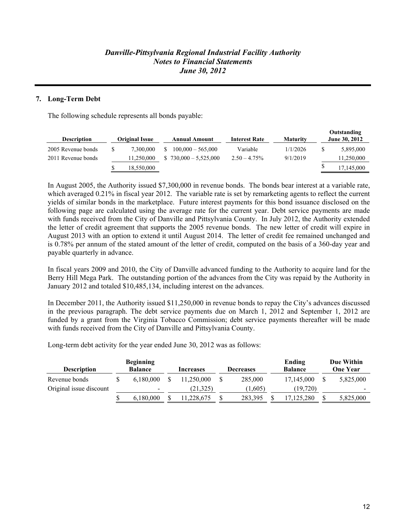### **7. Long-Term Debt**

The following schedule represents all bonds payable:

| <b>Description</b> |    | Original Issue | <b>Annual Amount</b>  | <b>Interest Rate</b> | <b>Maturity</b> | Outstanding<br>June 30, 2012 |
|--------------------|----|----------------|-----------------------|----------------------|-----------------|------------------------------|
| 2005 Revenue bonds | P. | 7.300.000      | $100,000 - 565,000$   | Variable             | 1/1/2026        | 5,895,000                    |
| 2011 Revenue bonds |    | 11.250.000     | $730.000 - 5.525.000$ | $2.50 - 4.75\%$      | 9/1/2019        | 11,250,000                   |
|                    |    | 18,550,000     |                       |                      |                 | 17,145,000                   |

In August 2005, the Authority issued \$7,300,000 in revenue bonds. The bonds bear interest at a variable rate, which averaged 0.21% in fiscal year 2012. The variable rate is set by remarketing agents to reflect the current yields of similar bonds in the marketplace. Future interest payments for this bond issuance disclosed on the following page are calculated using the average rate for the current year. Debt service payments are made with funds received from the City of Danville and Pittsylvania County. In July 2012, the Authority extended the letter of credit agreement that supports the 2005 revenue bonds. The new letter of credit will expire in August 2013 with an option to extend it until August 2014. The letter of credit fee remained unchanged and is 0.78% per annum of the stated amount of the letter of credit, computed on the basis of a 360-day year and payable quarterly in advance.

In fiscal years 2009 and 2010, the City of Danville advanced funding to the Authority to acquire land for the Berry Hill Mega Park. The outstanding portion of the advances from the City was repaid by the Authority in January 2012 and totaled \$10,485,134, including interest on the advances.

In December 2011, the Authority issued \$11,250,000 in revenue bonds to repay the City's advances discussed in the previous paragraph. The debt service payments due on March 1, 2012 and September 1, 2012 are funded by a grant from the Virginia Tobacco Commission; debt service payments thereafter will be made with funds received from the City of Danville and Pittsylvania County.

Long-term debt activity for the year ended June 30, 2012 was as follows:

| <b>Description</b>      | <b>Beginning</b><br><b>Balance</b> |   | Increases  | <b>Decreases</b> | Ending<br><b>Balance</b> | Due Within<br><b>One Year</b> |
|-------------------------|------------------------------------|---|------------|------------------|--------------------------|-------------------------------|
| Revenue bonds           | 6.180.000                          | S | 11.250.000 | 285,000          | 17,145,000               | 5,825,000                     |
| Original issue discount |                                    |   | (21.325)   | 1.605)           | (19.720)                 |                               |
|                         | 6,180,000                          |   | 1.228.675  | 283.395          | 7.125.280                | 5,825,000                     |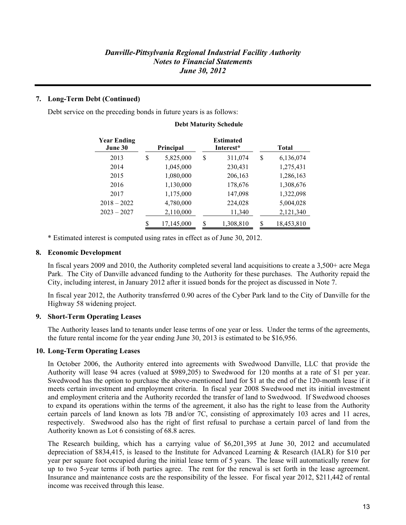### **7. Long-Term Debt (Continued)**

Debt service on the preceding bonds in future years is as follows:

### **Debt Maturity Schedule**

| <b>Year Ending</b><br>June 30 | Principal        |    | <b>Estimated</b><br>Interest* | Total            |
|-------------------------------|------------------|----|-------------------------------|------------------|
| 2013                          | \$<br>5,825,000  | \$ | 311,074                       | \$<br>6,136,074  |
| 2014                          | 1,045,000        |    | 230,431                       | 1,275,431        |
| 2015                          | 1,080,000        |    | 206,163                       | 1,286,163        |
| 2016                          | 1,130,000        |    | 178,676                       | 1,308,676        |
| 2017                          | 1,175,000        |    | 147,098                       | 1,322,098        |
| $2018 - 2022$                 | 4,780,000        |    | 224,028                       | 5,004,028        |
| $2023 - 2027$                 | 2,110,000        |    | 11,340                        | 2,121,340        |
|                               | \$<br>17,145,000 | S  | 1,308,810                     | \$<br>18,453,810 |

\* Estimated interest is computed using rates in effect as of June 30, 2012.

### **8. Economic Development**

In fiscal years 2009 and 2010, the Authority completed several land acquisitions to create a 3,500+ acre Mega Park. The City of Danville advanced funding to the Authority for these purchases. The Authority repaid the City, including interest, in January 2012 after it issued bonds for the project as discussed in Note 7.

In fiscal year 2012, the Authority transferred 0.90 acres of the Cyber Park land to the City of Danville for the Highway 58 widening project.

### **9. Short-Term Operating Leases**

The Authority leases land to tenants under lease terms of one year or less. Under the terms of the agreements, the future rental income for the year ending June 30, 2013 is estimated to be \$16,956.

### **10. Long-Term Operating Leases**

In October 2006, the Authority entered into agreements with Swedwood Danville, LLC that provide the Authority will lease 94 acres (valued at \$989,205) to Swedwood for 120 months at a rate of \$1 per year. Swedwood has the option to purchase the above-mentioned land for \$1 at the end of the 120-month lease if it meets certain investment and employment criteria. In fiscal year 2008 Swedwood met its initial investment and employment criteria and the Authority recorded the transfer of land to Swedwood. If Swedwood chooses to expand its operations within the terms of the agreement, it also has the right to lease from the Authority certain parcels of land known as lots 7B and/or 7C, consisting of approximately 103 acres and 11 acres, respectively. Swedwood also has the right of first refusal to purchase a certain parcel of land from the Authority known as Lot 6 consisting of 68.8 acres.

The Research building, which has a carrying value of \$6,201,395 at June 30, 2012 and accumulated depreciation of \$834,415, is leased to the Institute for Advanced Learning & Research (IALR) for \$10 per year per square foot occupied during the initial lease term of 5 years. The lease will automatically renew for up to two 5-year terms if both parties agree. The rent for the renewal is set forth in the lease agreement. Insurance and maintenance costs are the responsibility of the lessee. For fiscal year 2012, \$211,442 of rental income was received through this lease.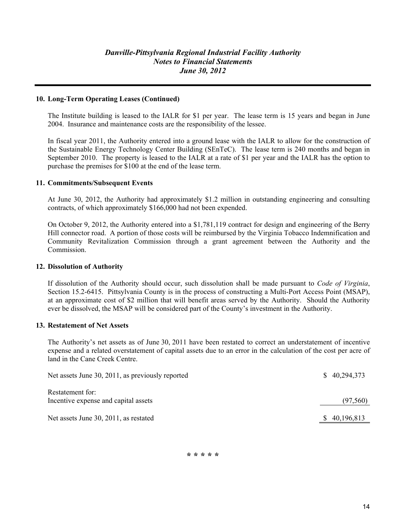### **10. Long-Term Operating Leases (Continued)**

The Institute building is leased to the IALR for \$1 per year. The lease term is 15 years and began in June 2004. Insurance and maintenance costs are the responsibility of the lessee.

In fiscal year 2011, the Authority entered into a ground lease with the IALR to allow for the construction of the Sustainable Energy Technology Center Building (SEnTeC). The lease term is 240 months and began in September 2010. The property is leased to the IALR at a rate of \$1 per year and the IALR has the option to purchase the premises for \$100 at the end of the lease term.

### **11. Commitments/Subsequent Events**

At June 30, 2012, the Authority had approximately \$1.2 million in outstanding engineering and consulting contracts, of which approximately \$166,000 had not been expended.

On October 9, 2012, the Authority entered into a \$1,781,119 contract for design and engineering of the Berry Hill connector road. A portion of those costs will be reimbursed by the Virginia Tobacco Indemnification and Community Revitalization Commission through a grant agreement between the Authority and the Commission.

### **12. Dissolution of Authority**

 If dissolution of the Authority should occur, such dissolution shall be made pursuant to *Code of Virginia*, Section 15.2-6415. Pittsylvania County is in the process of constructing a Multi-Port Access Point (MSAP), at an approximate cost of \$2 million that will benefit areas served by the Authority. Should the Authority ever be dissolved, the MSAP will be considered part of the County's investment in the Authority.

#### **13. Restatement of Net Assets**

The Authority's net assets as of June 30, 2011 have been restated to correct an understatement of incentive expense and a related overstatement of capital assets due to an error in the calculation of the cost per acre of land in the Cane Creek Centre.

| Net assets June 30, 2011, as previously reported         | SS. | 40,294,373 |
|----------------------------------------------------------|-----|------------|
| Restatement for:<br>Incentive expense and capital assets |     | (97, 560)  |
| Net assets June 30, 2011, as restated                    | S.  | 40,196,813 |

**\* \* \* \* \***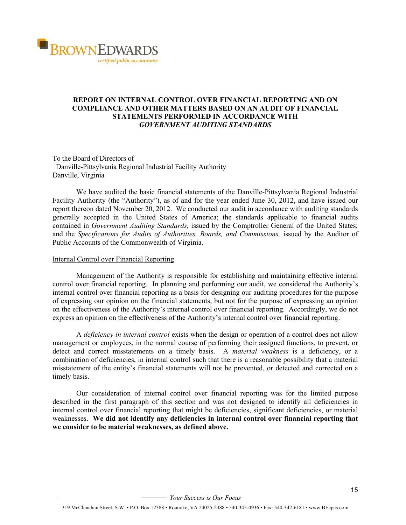

### **REPORT ON INTERNAL CONTROL OVER FINANCIAL REPORTING AND ON COMPLIANCE AND OTHER MATTERS BASED ON AN AUDIT OF FINANCIAL STATEMENTS PERFORMED IN ACCORDANCE WITH**  *GOVERNMENT AUDITING STANDARDS*

To the Board of Directors of Danville-Pittsylvania Regional Industrial Facility Authority Danville, Virginia

 We have audited the basic financial statements of the Danville-Pittsylvania Regional Industrial Facility Authority (the "Authority"), as of and for the year ended June 30, 2012, and have issued our report thereon dated November 20, 2012. We conducted our audit in accordance with auditing standards generally accepted in the United States of America; the standards applicable to financial audits contained in *Government Auditing Standards,* issued by the Comptroller General of the United States; and the *Specifications for Audits of Authorities, Boards, and Commissions,* issued by the Auditor of Public Accounts of the Commonwealth of Virginia.

### Internal Control over Financial Reporting

 Management of the Authority is responsible for establishing and maintaining effective internal control over financial reporting. In planning and performing our audit, we considered the Authority's internal control over financial reporting as a basis for designing our auditing procedures for the purpose of expressing our opinion on the financial statements, but not for the purpose of expressing an opinion on the effectiveness of the Authority's internal control over financial reporting. Accordingly, we do not express an opinion on the effectiveness of the Authority's internal control over financial reporting.

A *deficiency in internal control* exists when the design or operation of a control does not allow management or employees, in the normal course of performing their assigned functions, to prevent, or detect and correct misstatements on a timely basis. A *material weakness* is a deficiency, or a combination of deficiencies, in internal control such that there is a reasonable possibility that a material misstatement of the entity's financial statements will not be prevented, or detected and corrected on a timely basis.

Our consideration of internal control over financial reporting was for the limited purpose described in the first paragraph of this section and was not designed to identify all deficiencies in internal control over financial reporting that might be deficiencies, significant deficiencies, or material weaknesses. **We did not identify any deficiencies in internal control over financial reporting that we consider to be material weaknesses, as defined above.** 

*Your Success is Our Focus*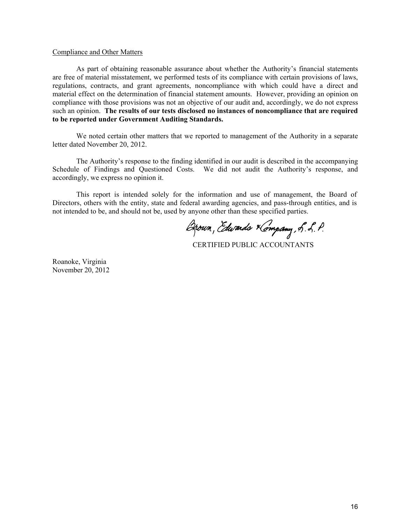#### Compliance and Other Matters

 As part of obtaining reasonable assurance about whether the Authority's financial statements are free of material misstatement, we performed tests of its compliance with certain provisions of laws, regulations, contracts, and grant agreements, noncompliance with which could have a direct and material effect on the determination of financial statement amounts. However, providing an opinion on compliance with those provisions was not an objective of our audit and, accordingly, we do not express such an opinion. **The results of our tests disclosed no instances of noncompliance that are required to be reported under Government Auditing Standards.** 

 We noted certain other matters that we reported to management of the Authority in a separate letter dated November 20, 2012.

The Authority's response to the finding identified in our audit is described in the accompanying Schedule of Findings and Questioned Costs. We did not audit the Authority's response, and accordingly, we express no opinion it.

 This report is intended solely for the information and use of management, the Board of Directors, others with the entity, state and federal awarding agencies, and pass-through entities, and is not intended to be, and should not be, used by anyone other than these specified parties.

Brown, Edwards Kompany, S. L. P.

CERTIFIED PUBLIC ACCOUNTANTS

Roanoke, Virginia November 20, 2012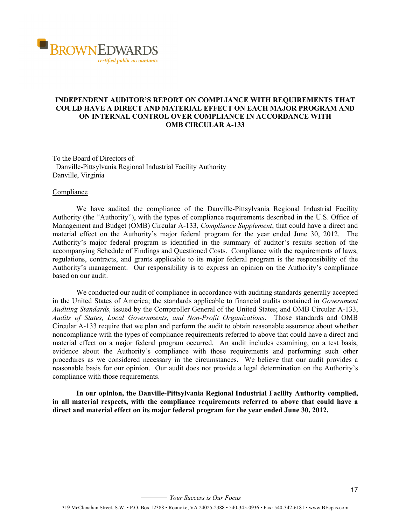

### **INDEPENDENT AUDITOR'S REPORT ON COMPLIANCE WITH REQUIREMENTS THAT COULD HAVE A DIRECT AND MATERIAL EFFECT ON EACH MAJOR PROGRAM AND ON INTERNAL CONTROL OVER COMPLIANCE IN ACCORDANCE WITH OMB CIRCULAR A-133**

To the Board of Directors of Danville-Pittsylvania Regional Industrial Facility Authority Danville, Virginia

#### Compliance

 We have audited the compliance of the Danville-Pittsylvania Regional Industrial Facility Authority (the "Authority"), with the types of compliance requirements described in the U.S. Office of Management and Budget (OMB) Circular A-133, *Compliance Supplement*, that could have a direct and material effect on the Authority's major federal program for the year ended June 30, 2012. The Authority's major federal program is identified in the summary of auditor's results section of the accompanying Schedule of Findings and Questioned Costs. Compliance with the requirements of laws, regulations, contracts, and grants applicable to its major federal program is the responsibility of the Authority's management. Our responsibility is to express an opinion on the Authority's compliance based on our audit.

 We conducted our audit of compliance in accordance with auditing standards generally accepted in the United States of America; the standards applicable to financial audits contained in *Government Auditing Standards,* issued by the Comptroller General of the United States; and OMB Circular A-133, *Audits of States, Local Governments, and Non-Profit Organizations*. Those standards and OMB Circular A-133 require that we plan and perform the audit to obtain reasonable assurance about whether noncompliance with the types of compliance requirements referred to above that could have a direct and material effect on a major federal program occurred. An audit includes examining, on a test basis, evidence about the Authority's compliance with those requirements and performing such other procedures as we considered necessary in the circumstances. We believe that our audit provides a reasonable basis for our opinion. Our audit does not provide a legal determination on the Authority's compliance with those requirements.

 **In our opinion, the Danville-Pittsylvania Regional Industrial Facility Authority complied, in all material respects, with the compliance requirements referred to above that could have a direct and material effect on its major federal program for the year ended June 30, 2012.**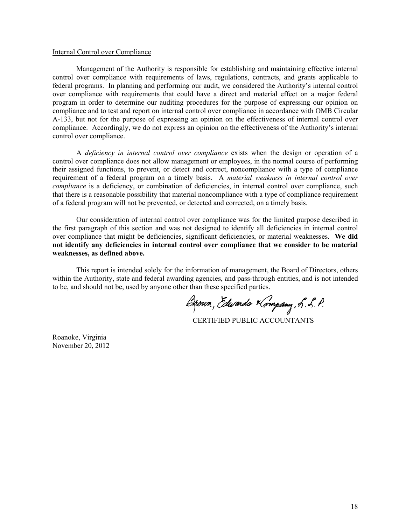#### Internal Control over Compliance

 Management of the Authority is responsible for establishing and maintaining effective internal control over compliance with requirements of laws, regulations, contracts, and grants applicable to federal programs. In planning and performing our audit, we considered the Authority's internal control over compliance with requirements that could have a direct and material effect on a major federal program in order to determine our auditing procedures for the purpose of expressing our opinion on compliance and to test and report on internal control over compliance in accordance with OMB Circular A-133, but not for the purpose of expressing an opinion on the effectiveness of internal control over compliance. Accordingly, we do not express an opinion on the effectiveness of the Authority's internal control over compliance.

 A *deficiency in internal control over compliance* exists when the design or operation of a control over compliance does not allow management or employees, in the normal course of performing their assigned functions, to prevent, or detect and correct, noncompliance with a type of compliance requirement of a federal program on a timely basis. A *material weakness in internal control over compliance* is a deficiency, or combination of deficiencies, in internal control over compliance, such that there is a reasonable possibility that material noncompliance with a type of compliance requirement of a federal program will not be prevented, or detected and corrected, on a timely basis.

 Our consideration of internal control over compliance was for the limited purpose described in the first paragraph of this section and was not designed to identify all deficiencies in internal control over compliance that might be deficiencies, significant deficiencies, or material weaknesses. **We did not identify any deficiencies in internal control over compliance that we consider to be material weaknesses, as defined above.**

 This report is intended solely for the information of management, the Board of Directors, others within the Authority, state and federal awarding agencies, and pass-through entities, and is not intended to be, and should not be, used by anyone other than these specified parties.

Brown, Edwards Kompany, S. L. P.

CERTIFIED PUBLIC ACCOUNTANTS

Roanoke, Virginia November 20, 2012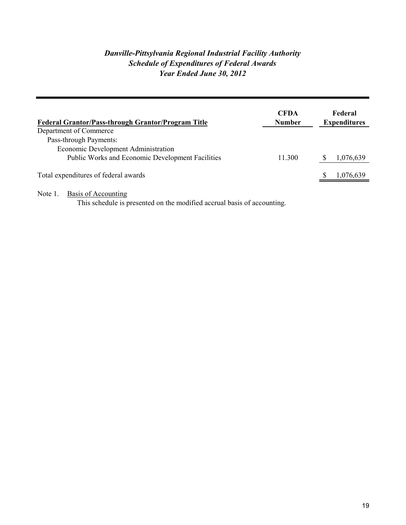# *Danville-Pittsylvania Regional Industrial Facility Authority Schedule of Expenditures of Federal Awards Year Ended June 30, 2012*

| <b>Federal Grantor/Pass-through Grantor/Program Title</b> | <b>CFDA</b><br><b>Number</b> | Federal<br><b>Expenditures</b> |
|-----------------------------------------------------------|------------------------------|--------------------------------|
| Department of Commerce                                    |                              |                                |
| Pass-through Payments:                                    |                              |                                |
| Economic Development Administration                       |                              |                                |
| <b>Public Works and Economic Development Facilities</b>   | 11.300                       | 1,076,639                      |
| Total expenditures of federal awards                      |                              | 1,076,639                      |
|                                                           |                              |                                |

Note 1. Basis of Accounting

This schedule is presented on the modified accrual basis of accounting.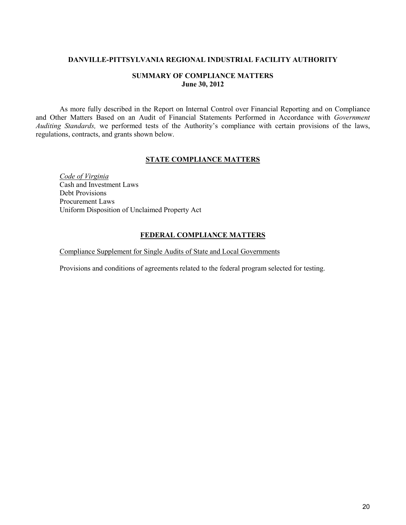### **DANVILLE-PITTSYLVANIA REGIONAL INDUSTRIAL FACILITY AUTHORITY**

### **SUMMARY OF COMPLIANCE MATTERS June 30, 2012**

As more fully described in the Report on Internal Control over Financial Reporting and on Compliance and Other Matters Based on an Audit of Financial Statements Performed in Accordance with *Government Auditing Standards,* we performed tests of the Authority's compliance with certain provisions of the laws, regulations, contracts, and grants shown below.

### **STATE COMPLIANCE MATTERS**

*Code of Virginia* Cash and Investment Laws Debt Provisions Procurement Laws Uniform Disposition of Unclaimed Property Act

### **FEDERAL COMPLIANCE MATTERS**

Compliance Supplement for Single Audits of State and Local Governments

Provisions and conditions of agreements related to the federal program selected for testing.